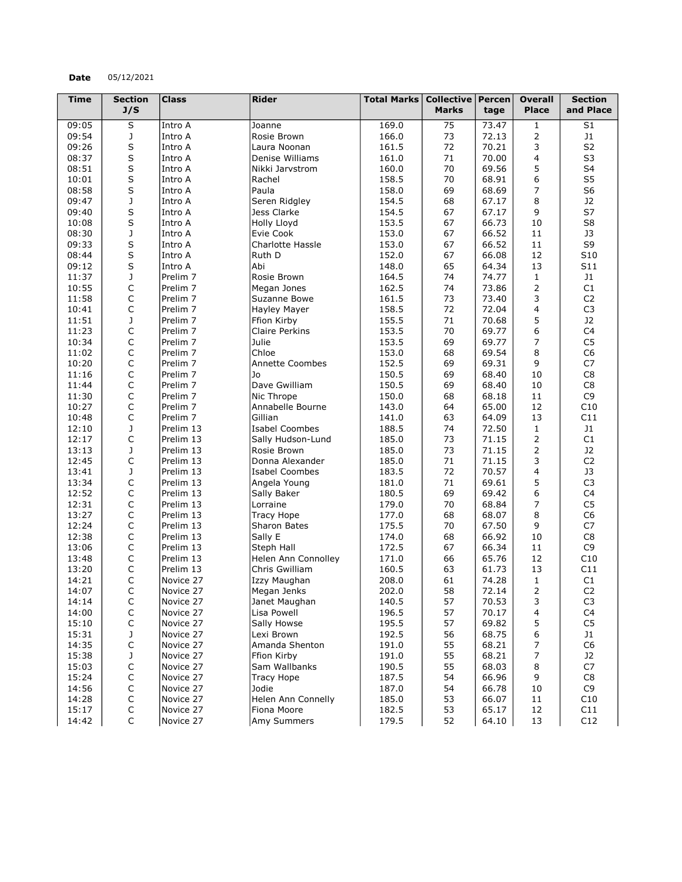## Date 05/12/2021

| <b>Time</b>    | <b>Section</b>          | <b>Class</b>           | <b>Rider</b>            | <b>Total Marks</b> | <b>Collective</b> | $ $ Percen $ $ | <b>Overall</b>      | <b>Section</b>       |
|----------------|-------------------------|------------------------|-------------------------|--------------------|-------------------|----------------|---------------------|----------------------|
|                | J/S                     |                        |                         |                    | <b>Marks</b>      | tage           | <b>Place</b>        | and Place            |
| 09:05          | $\overline{\mathsf{s}}$ | Intro A                | Joanne                  | 169.0              | 75                | 73.47          | 1                   | S1                   |
| 09:54          | J                       | Intro A                | Rosie Brown             | 166.0              | 73                | 72.13          | 2                   | J1                   |
| 09:26          | $\sf S$                 | Intro A                | Laura Noonan            | 161.5              | 72                | 70.21          | 3                   | S <sub>2</sub>       |
| 08:37          | S                       | Intro A                | Denise Williams         | 161.0              | 71                | 70.00          | 4                   | S <sub>3</sub>       |
| 08:51          | $\sf S$                 | Intro A                | Nikki Jarvstrom         | 160.0              | 70                | 69.56          | 5                   | S4                   |
| 10:01          | S                       | Intro A                | Rachel                  | 158.5              | 70                | 68.91          | 6                   | S <sub>5</sub>       |
| 08:58          | S                       | Intro A                | Paula                   | 158.0              | 69                | 68.69          | 7                   | S <sub>6</sub>       |
| 09:47          | $\mathsf J$             | Intro A                | Seren Ridgley           | 154.5              | 68                | 67.17          | 8                   | J2                   |
| 09:40          | S                       | Intro A                | Jess Clarke             | 154.5              | 67                | 67.17          | 9                   | S7                   |
| 10:08          | $\sf S$                 | Intro A                | Holly Lloyd             | 153.5              | 67                | 66.73          | 10                  | S <sub>8</sub>       |
| 08:30          | $\mathbf J$             | Intro A                | Evie Cook               | 153.0              | 67                | 66.52          | 11                  | J3                   |
| 09:33          | S                       | Intro A                | <b>Charlotte Hassle</b> | 153.0              | 67                | 66.52          | 11                  | S9                   |
| 08:44          | $\sf S$                 | Intro A                | Ruth D                  | 152.0              | 67                | 66.08          | 12                  | S10                  |
| 09:12          | S                       | Intro A                | Abi                     | 148.0              | 65                | 64.34          | 13                  | S11                  |
| 11:37          | J                       | Prelim <sub>7</sub>    | Rosie Brown             | 164.5              | 74                | 74.77          | $\mathbf{1}$        | J1                   |
| 10:55          | $\mathsf C$             | Prelim <sub>7</sub>    | Megan Jones             | 162.5              | 74                | 73.86          | 2                   | C1                   |
| 11:58          | C                       | Prelim <sub>7</sub>    | Suzanne Bowe            | 161.5              | 73                | 73.40          | 3                   | C <sub>2</sub>       |
| 10:41          | C                       | Prelim <sub>7</sub>    | Hayley Mayer            | 158.5              | 72                | 72.04          | $\overline{4}$      | C <sub>3</sub>       |
| 11:51          | J                       | Prelim <sub>7</sub>    | Ffion Kirby             | 155.5              | 71                | 70.68          | 5                   | J2                   |
| 11:23          | C                       | Prelim <sub>7</sub>    | <b>Claire Perkins</b>   | 153.5              | 70                | 69.77          | 6                   | C4                   |
| 10:34          | $\mathsf C$             | Prelim <sub>7</sub>    | Julie                   | 153.5              | 69                | 69.77          | 7                   | C <sub>5</sub>       |
| 11:02          | C                       | Prelim <sub>7</sub>    | Chloe                   | 153.0              | 68                | 69.54          | 8                   | C <sub>6</sub>       |
| 10:20          | C                       | Prelim <sub>7</sub>    | <b>Annette Coombes</b>  | 152.5              | 69                | 69.31          | 9                   | C7                   |
| 11:16          | $\mathsf C$             | Prelim <sub>7</sub>    | Jo                      | 150.5              | 69                | 68.40          | 10                  | C8                   |
| 11:44          | C                       | Prelim <sub>7</sub>    | Dave Gwilliam           | 150.5              | 69                | 68.40          | 10                  | C8                   |
| 11:30          | C                       | Prelim <sub>7</sub>    | Nic Thrope              | 150.0              | 68                | 68.18          | 11                  | C <sub>9</sub>       |
| 10:27          | C                       | Prelim <sub>7</sub>    | Annabelle Bourne        | 143.0              | 64                | 65.00          | 12                  | C10                  |
|                | C                       | Prelim <sub>7</sub>    | Gillian                 | 141.0              | 63                | 64.09          | 13                  | C11                  |
| 10:48          | J                       |                        |                         |                    | 74                |                |                     | J1                   |
| 12:10<br>12:17 | C                       | Prelim 13              | <b>Isabel Coombes</b>   | 188.5<br>185.0     | 73                | 72.50          | $\mathbf{1}$<br>2   | C1                   |
|                |                         | Prelim 13              | Sally Hudson-Lund       | 185.0              | 73                | 71.15<br>71.15 | 2                   | J2                   |
| 13:13<br>12:45 | J<br>$\mathsf C$        | Prelim 13<br>Prelim 13 | Rosie Brown             |                    | 71                | 71.15          | 3                   | C <sub>2</sub>       |
|                |                         |                        | Donna Alexander         | 185.0              |                   |                |                     |                      |
| 13:41          | J                       | Prelim 13              | <b>Isabel Coombes</b>   | 183.5              | 72                | 70.57          | 4                   | J3                   |
| 13:34          | C                       | Prelim 13              | Angela Young            | 181.0              | 71                | 69.61<br>69.42 | 5                   | C <sub>3</sub><br>C4 |
| 12:52          | C                       | Prelim 13              | Sally Baker             | 180.5              | 69                |                | 6<br>$\overline{7}$ | C <sub>5</sub>       |
| 12:31          | C                       | Prelim 13              | Lorraine                | 179.0              | 70                | 68.84          |                     |                      |
| 13:27          | C                       | Prelim 13              | <b>Tracy Hope</b>       | 177.0              | 68                | 68.07          | 8                   | C <sub>6</sub>       |
| 12:24          | C                       | Prelim 13              | Sharon Bates            | 175.5              | 70                | 67.50          | 9                   | C7                   |
| 12:38          | C<br>$\mathsf C$        | Prelim 13              | Sally E                 | 174.0              | 68<br>67          | 66.92<br>66.34 | 10<br>11            | C8<br>C <sub>9</sub> |
| 13:06<br>13:48 | C                       | Prelim 13              | Steph Hall              | 172.5<br>171.0     | 66                | 65.76          | 12                  | C10                  |
|                | C                       | Prelim 13              | Helen Ann Connolley     |                    |                   |                |                     | C11                  |
| 13:20<br>14:21 | C                       | Prelim 13              | Chris Gwilliam          | 160.5<br>208.0     | 63<br>61          | 61.73          | 13                  | C1                   |
|                |                         | Novice 27              | Izzy Maughan            |                    |                   | 74.28          | 1<br>2              | C <sub>2</sub>       |
| 14:07          | C                       | Novice 27              | Megan Jenks             | 202.0              | 58                | 72.14          |                     |                      |
| 14:14          | $\mathsf C$             | Novice 27              | Janet Maughan           | 140.5              | 57                | 70.53          | 3                   | C <sub>3</sub>       |
| 14:00          | $\mathsf C$             | Novice 27              | Lisa Powell             | 196.5              | 57                | 70.17          | 4                   | C <sub>4</sub>       |
| 15:10          | C                       | Novice 27              | Sally Howse             | 195.5              | 57                | 69.82          | 5                   | C <sub>5</sub>       |
| 15:31          | J                       | Novice 27              | Lexi Brown              | 192.5              | 56                | 68.75          | 6                   | J1                   |
| 14:35          | $\mathsf C$             | Novice 27              | Amanda Shenton          | 191.0              | 55                | 68.21          | 7                   | C <sub>6</sub>       |
| 15:38          | J                       | Novice 27              | Ffion Kirby             | 191.0              | 55                | 68.21          | 7                   | J2                   |
| 15:03          | $\mathsf C$             | Novice 27              | Sam Wallbanks           | 190.5              | 55                | 68.03          | 8                   | ${\sf C7}$           |
| 15:24          | $\mathsf C$             | Novice 27              | Tracy Hope              | 187.5              | 54                | 66.96          | 9                   | C8                   |
| 14:56          | $\mathsf C$             | Novice 27              | Jodie                   | 187.0              | 54                | 66.78          | 10                  | C <sub>9</sub>       |
| 14:28          | $\mathsf C$             | Novice 27              | Helen Ann Connelly      | 185.0              | 53                | 66.07          | 11                  | C10                  |
| 15:17          | C                       | Novice 27              | Fiona Moore             | 182.5              | 53                | 65.17          | 12                  | C11                  |
| 14:42          | $\mathsf{C}$            | Novice 27              | <b>Amy Summers</b>      | 179.5              | 52                | 64.10          | 13                  | C12                  |